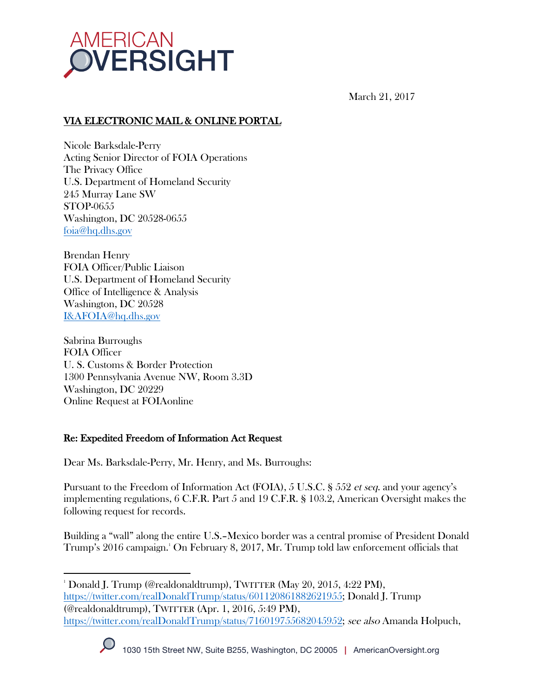

March 21, 2017

# VIA ELECTRONIC MAIL & ONLINE PORTAL

Nicole Barksdale-Perry Acting Senior Director of FOIA Operations The Privacy Office U.S. Department of Homeland Security 245 Murray Lane SW STOP-0655 Washington, DC 20528-0655 foia@hq.dhs.gov

Brendan Henry FOIA Officer/Public Liaison U.S. Department of Homeland Security Office of Intelligence & Analysis Washington, DC 20528 I&AFOIA@hq.dhs.gov

Sabrina Burroughs FOIA Officer U. S. Customs & Border Protection 1300 Pennsylvania Avenue NW, Room 3.3D Washington, DC 20229 Online Request at FOIAonline

# Re: Expedited Freedom of Information Act Request

Dear Ms. Barksdale-Perry, Mr. Henry, and Ms. Burroughs:

Pursuant to the Freedom of Information Act (FOIA), 5 U.S.C. § 552 et seq. and your agency's implementing regulations, 6 C.F.R. Part 5 and 19 C.F.R. § 103.2, American Oversight makes the following request for records.

Building a "wall" along the entire U.S.–Mexico border was a central promise of President Donald Trump's 2016 campaign.1 On February 8, 2017, Mr. Trump told law enforcement officials that

 1 Donald J. Trump (@realdonaldtrump), TWITTER (May 20, 2015, 4:22 PM), https://twitter.com/realDonaldTrump/status/601120861882621955; Donald J. Trump (@realdonaldtrump), TWITTER (Apr. 1, 2016, 5:49 PM), https://twitter.com/realDonaldTrump/status/716019755682045952; see also Amanda Holpuch,

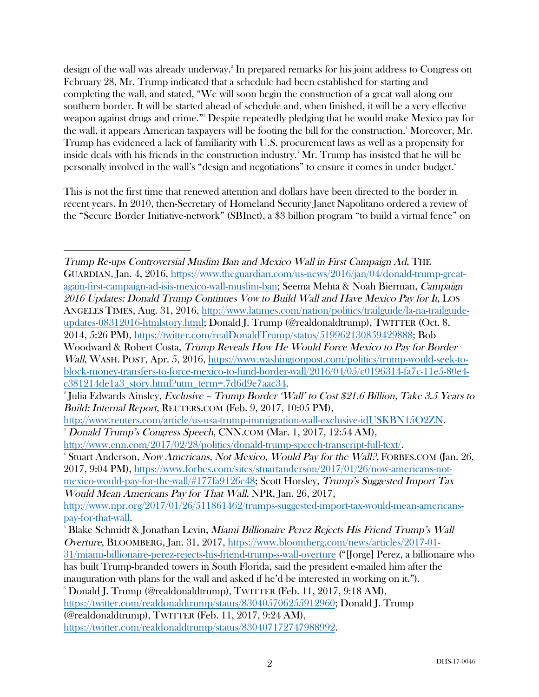design of the wall was already underway. 2 In prepared remarks for his joint address to Congress on February 28, Mr. Trump indicated that a schedule had been established for starting and completing the wall, and stated, "We will soon begin the construction of a great wall along our southern border. It will be started ahead of schedule and, when finished, it will be a very effective weapon against drugs and crime." 3 Despite repeatedly pledging that he would make Mexico pay for the wall, it appears American taxpayers will be footing the bill for the construction.<sup>4</sup> Moreover, Mr. Trump has evidenced a lack of familiarity with U.S. procurement laws as well as a propensity for inside deals with his friends in the construction industry.5 Mr. Trump has insisted that he will be personally involved in the wall's "design and negotiations" to ensure it comes in under budget.6

This is not the first time that renewed attention and dollars have been directed to the border in recent years. In 2010, then-Secretary of Homeland Security Janet Napolitano ordered a review of the "Secure Border Initiative-network" (SBInet), a \$3 billion program "to build a virtual fence" on

 

Trump Re-ups Controversial Muslim Ban and Mexico Wall in First Campaign Ad, THE GUARDIAN, Jan. 4, 2016, https://www.theguardian.com/us-news/2016/jan/04/donald-trump-greatagain-first-campaign-ad-isis-mexico-wall-muslim-ban; Seema Mehta & Noah Bierman, Campaign 2016 Updates: Donald Trump Continues Vow to Build Wall and Have Mexico Pay for It, LOS ANGELES TIMES, Aug. 31, 2016, http://www.latimes.com/nation/politics/trailguide/la-na-trailguideupdates-08312016-htmlstory.html; Donald J. Trump (@realdonaldtrump), TWITTER (Oct. 8, 2014, 5:26 PM), https://twitter.com/realDonaldTrump/status/519962130859429888; Bob Woodward & Robert Costa, Trump Reveals How He Would Force Mexico to Pay for Border Wall, WASH. POST, Apr. 5, 2016, https://www.washingtonpost.com/politics/trump-would-seek-toblock-money-transfers-to-force-mexico-to-fund-border-wall/2016/04/05/c0196314-fa7c-11e5-80e4 c381214de1a3\_story.html?utm\_term=.7d6d9e7aac34. 2

<sup>&</sup>lt;sup>2</sup> Julia Edwards Ainsley, *Exclusive – Trump Border 'Wall' to Cost \$21.6 Billion, Take 3.5 Years to* Build: Internal Report, REUTERS.COM (Feb. 9, 2017, 10:05 PM),

http://www.reuters.com/article/us-usa-trump-immigration-wall-exclusive-idUSKBN15O2ZN. 3 Donald Trump's Congress Speech, CNN.COM (Mar. 1, 2017, 12:54 AM),

http://www.cnn.com/2017/02/28/politics/donald-trump-speech-transcript-full-text/. 4

<sup>&</sup>lt;sup>4</sup> Stuart Anderson, *Now Americans, Not Mexico, Would Pay for the Wall?*, FORBES.COM (Jan. 26, 2017, 9:04 PM), https://www.forbes.com/sites/stuartanderson/2017/01/26/now-americans-not-

mexico-would-pay-for-the-wall/#177fa9126c48; Scott Horsley, Trump's Suggested Import Tax Would Mean Americans Pay for That Wall, NPR, Jan. 26, 2017,

http://www.npr.org/2017/01/26/511861462/trumps-suggested-import-tax-would-mean-americanspay-for-that-wall. 5

 $\,$  Blake Schmidt & Jonathan Levin, *Miami Billionaire Perez Rejects His Friend Trump's Wall* Overture, BLOOMBERG, Jan. 31, 2017, https://www.bloomberg.com/news/articles/2017-01- 31/miami-billionaire-perez-rejects-his-friend-trump-s-wall-overture ("[Jorge] Perez, a billionaire who has built Trump-branded towers in South Florida, said the president e-mailed him after the

inauguration with plans for the wall and asked if he'd be interested in working on it."). 6  $\degree$  Donald J. Trump (@realdonaldtrump), TWITTER (Feb. 11, 2017, 9:18 AM),

https://twitter.com/realdonaldtrump/status/830405706255912960; Donald J. Trump (@realdonaldtrump), TWITTER (Feb. 11, 2017, 9:24 AM),

https://twitter.com/realdonaldtrump/status/830407172747988992.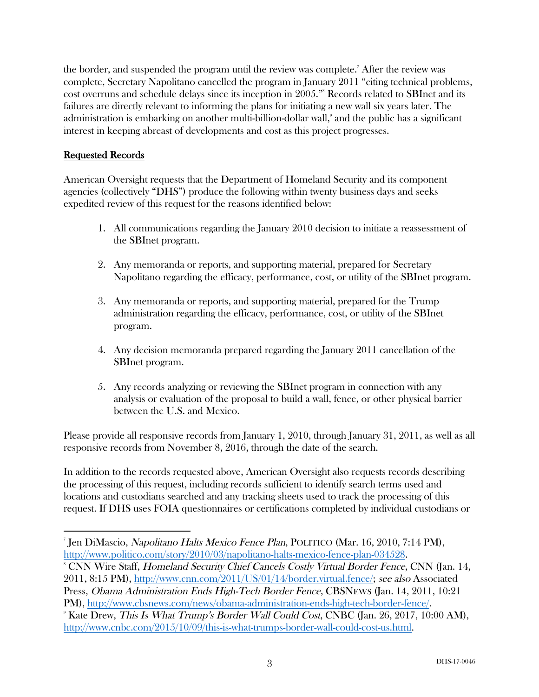the border, and suspended the program until the review was complete.<sup>7</sup> After the review was complete, Secretary Napolitano cancelled the program in January 2011 "citing technical problems, cost overruns and schedule delays since its inception in 2005." 8 Records related to SBInet and its failures are directly relevant to informing the plans for initiating a new wall six years later. The administration is embarking on another multi-billion-dollar wall, 9 and the public has a significant interest in keeping abreast of developments and cost as this project progresses.

### Requested Records

 

American Oversight requests that the Department of Homeland Security and its component agencies (collectively "DHS") produce the following within twenty business days and seeks expedited review of this request for the reasons identified below:

- 1. All communications regarding the January 2010 decision to initiate a reassessment of the SBInet program.
- 2. Any memoranda or reports, and supporting material, prepared for Secretary Napolitano regarding the efficacy, performance, cost, or utility of the SBInet program.
- 3. Any memoranda or reports, and supporting material, prepared for the Trump administration regarding the efficacy, performance, cost, or utility of the SBInet program.
- 4. Any decision memoranda prepared regarding the January 2011 cancellation of the SBInet program.
- 5. Any records analyzing or reviewing the SBInet program in connection with any analysis or evaluation of the proposal to build a wall, fence, or other physical barrier between the U.S. and Mexico.

Please provide all responsive records from January 1, 2010, through January 31, 2011, as well as all responsive records from November 8, 2016, through the date of the search.

In addition to the records requested above, American Oversight also requests records describing the processing of this request, including records sufficient to identify search terms used and locations and custodians searched and any tracking sheets used to track the processing of this request. If DHS uses FOIA questionnaires or certifications completed by individual custodians or

<sup>7</sup> Jen DiMascio, Napolitano Halts Mexico Fence Plan, POLITICO (Mar. 16, 2010, 7:14 PM), http://www.politico.com/story/2010/03/napolitano-halts-mexico-fence-plan-034528.

CNN Wire Staff, Homeland Security Chief Cancels Costly Virtual Border Fence, CNN (Jan. 14, 2011, 8:15 PM), http://www.cnn.com/2011/US/01/14/border.virtual.fence/; see also Associated Press, Obama Administration Ends High-Tech Border Fence, CBSNEWS (Jan. 14, 2011, 10:21 PM), http://www.cbsnews.com/news/obama-administration-ends-high-tech-border-fence/.

 $\degree$  Kate Drew, *This Is What Trump's Border Wall Could Cost*, CNBC (Jan. 26, 2017, 10:00 AM), http://www.cnbc.com/2015/10/09/this-is-what-trumps-border-wall-could-cost-us.html.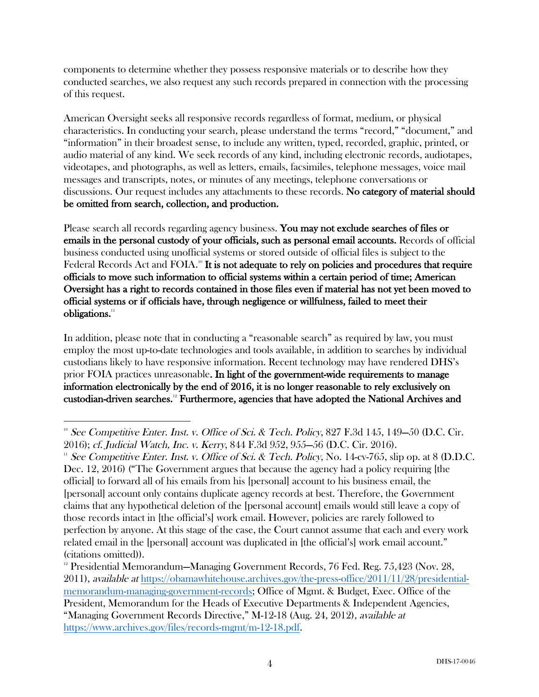components to determine whether they possess responsive materials or to describe how they conducted searches, we also request any such records prepared in connection with the processing of this request.

American Oversight seeks all responsive records regardless of format, medium, or physical characteristics. In conducting your search, please understand the terms "record," "document," and "information" in their broadest sense, to include any written, typed, recorded, graphic, printed, or audio material of any kind. We seek records of any kind, including electronic records, audiotapes, videotapes, and photographs, as well as letters, emails, facsimiles, telephone messages, voice mail messages and transcripts, notes, or minutes of any meetings, telephone conversations or discussions. Our request includes any attachments to these records. No category of material should be omitted from search, collection, and production.

Please search all records regarding agency business. You may not exclude searches of files or emails in the personal custody of your officials, such as personal email accounts. Records of official business conducted using unofficial systems or stored outside of official files is subject to the Federal Records Act and  $\rm FOIA$ .<sup>10</sup> It is not adequate to rely on policies and procedures that require officials to move such information to official systems within a certain period of time; American Oversight has a right to records contained in those files even if material has not yet been moved to official systems or if officials have, through negligence or willfulness, failed to meet their obligations.<sup>11</sup>

In addition, please note that in conducting a "reasonable search" as required by law, you must employ the most up-to-date technologies and tools available, in addition to searches by individual custodians likely to have responsive information. Recent technology may have rendered DHS's prior FOIA practices unreasonable. In light of the government-wide requirements to manage information electronically by the end of 2016, it is no longer reasonable to rely exclusively on custodian-driven searches.12 Furthermore, agencies that have adopted the National Archives and

 <sup>10</sup> See Competitive Enter. Inst. v. Office of Sci. & Tech. Policy, 827 F.3d 145, 149–50 (D.C. Cir.

<sup>2016);</sup> cf. Judicial Watch, Inc. v. Kerry, 844 F.3d 952, 955—56 (D.C. Cir. 2016).<br><sup>11</sup> See Competitive Enter. Inst. v. Office of Sci. & Tech. Policy, No. 14-cv-765, slip op. at 8 (D.D.C. Dec. 12, 2016) ("The Government argues that because the agency had a policy requiring [the official] to forward all of his emails from his [personal] account to his business email, the [personal] account only contains duplicate agency records at best. Therefore, the Government claims that any hypothetical deletion of the [personal account] emails would still leave a copy of those records intact in [the official's] work email. However, policies are rarely followed to perfection by anyone. At this stage of the case, the Court cannot assume that each and every work related email in the [personal] account was duplicated in [the official's] work email account." (citations omitted)).

<sup>&</sup>lt;sup>12</sup> Presidential Memorandum—Managing Government Records, 76 Fed. Reg. 75,423 (Nov. 28, 2011), available at https://obamawhitehouse.archives.gov/the-press-office/2011/11/28/presidentialmemorandum-managing-government-records; Office of Mgmt. & Budget, Exec. Office of the President, Memorandum for the Heads of Executive Departments & Independent Agencies, "Managing Government Records Directive," M-12-18 (Aug. 24, 2012), available at https://www.archives.gov/files/records-mgmt/m-12-18.pdf.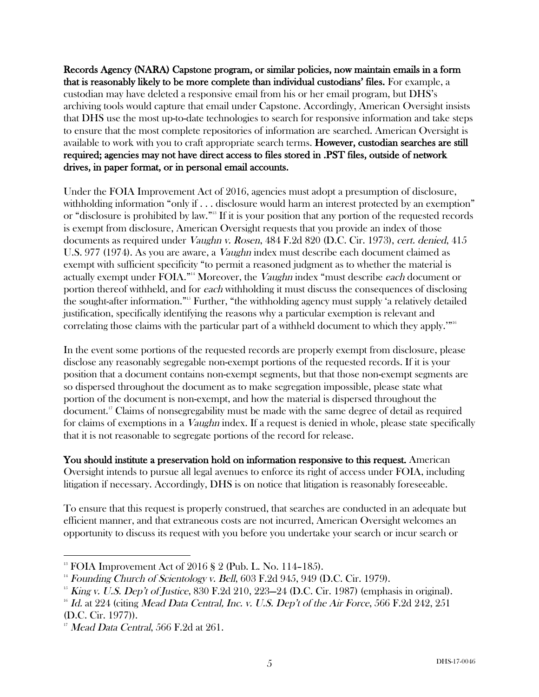Records Agency (NARA) Capstone program, or similar policies, now maintain emails in a form that is reasonably likely to be more complete than individual custodians' files. For example, a custodian may have deleted a responsive email from his or her email program, but DHS's archiving tools would capture that email under Capstone. Accordingly, American Oversight insists that DHS use the most up-to-date technologies to search for responsive information and take steps to ensure that the most complete repositories of information are searched. American Oversight is available to work with you to craft appropriate search terms. However, custodian searches are still required; agencies may not have direct access to files stored in .PST files, outside of network drives, in paper format, or in personal email accounts.

Under the FOIA Improvement Act of 2016, agencies must adopt a presumption of disclosure, withholding information "only if . . . disclosure would harm an interest protected by an exemption" or "disclosure is prohibited by law."13 If it is your position that any portion of the requested records is exempt from disclosure, American Oversight requests that you provide an index of those documents as required under Vaughn v. Rosen, 484 F.2d 820 (D.C. Cir. 1973), cert. denied, 415 U.S. 977 (1974). As you are aware, a Vaughn index must describe each document claimed as exempt with sufficient specificity "to permit a reasoned judgment as to whether the material is actually exempt under FOIA."<sup>14</sup> Moreover, the *Vaughn* index "must describe each document or portion thereof withheld, and for each withholding it must discuss the consequences of disclosing the sought-after information."15 Further, "the withholding agency must supply 'a relatively detailed justification, specifically identifying the reasons why a particular exemption is relevant and correlating those claims with the particular part of a withheld document to which they apply.'"16

In the event some portions of the requested records are properly exempt from disclosure, please disclose any reasonably segregable non-exempt portions of the requested records. If it is your position that a document contains non-exempt segments, but that those non-exempt segments are so dispersed throughout the document as to make segregation impossible, please state what portion of the document is non-exempt, and how the material is dispersed throughout the document.17 Claims of nonsegregability must be made with the same degree of detail as required for claims of exemptions in a Vaughn index. If a request is denied in whole, please state specifically that it is not reasonable to segregate portions of the record for release.

You should institute a preservation hold on information responsive to this request. American Oversight intends to pursue all legal avenues to enforce its right of access under FOIA, including litigation if necessary. Accordingly, DHS is on notice that litigation is reasonably foreseeable.

To ensure that this request is properly construed, that searches are conducted in an adequate but efficient manner, and that extraneous costs are not incurred, American Oversight welcomes an opportunity to discuss its request with you before you undertake your search or incur search or

 

<sup>&</sup>lt;sup>13</sup> FOIA Improvement Act of 2016 § 2 (Pub. L. No. 114-185).

 $14$  Founding Church of Scientology v. Bell, 603 F.2d 945, 949 (D.C. Cir. 1979).

<sup>&</sup>lt;sup>15</sup> King v. U.S. Dep't of Justice, 830 F.2d 210, 223–24 (D.C. Cir. 1987) (emphasis in original).

 $^{16}$  Id. at 224 (citing Mead Data Central, Inc. v. U.S. Dep't of the Air Force, 566 F.2d 242, 251 (D.C. Cir. 1977)).

 $17$  Mead Data Central, 566 F.2d at 261.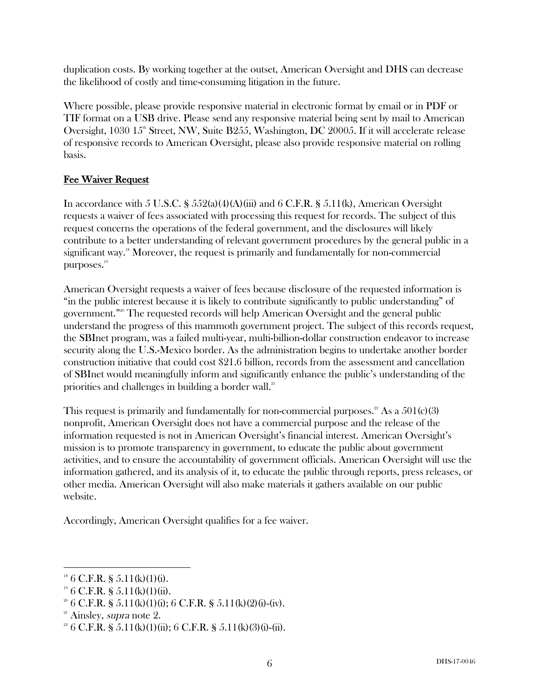duplication costs. By working together at the outset, American Oversight and DHS can decrease the likelihood of costly and time-consuming litigation in the future.

Where possible, please provide responsive material in electronic format by email or in PDF or TIF format on a USB drive. Please send any responsive material being sent by mail to American Oversight,  $1030 \, 15^{\text{th}}$  Street, NW, Suite B255, Washington, DC 20005. If it will accelerate release of responsive records to American Oversight, please also provide responsive material on rolling basis.

# Fee Waiver Request

In accordance with 5 U.S.C. §  $552(a)(4)(A)(iii)$  and 6 C.F.R. §  $5.11(k)$ , American Oversight requests a waiver of fees associated with processing this request for records. The subject of this request concerns the operations of the federal government, and the disclosures will likely contribute to a better understanding of relevant government procedures by the general public in a significant way.<sup>18</sup> Moreover, the request is primarily and fundamentally for non-commercial purposes.<sup>19</sup>

American Oversight requests a waiver of fees because disclosure of the requested information is "in the public interest because it is likely to contribute significantly to public understanding" of government." <sup>20</sup> The requested records will help American Oversight and the general public understand the progress of this mammoth government project. The subject of this records request, the SBInet program, was a failed multi-year, multi-billion-dollar construction endeavor to increase security along the U.S.-Mexico border. As the administration begins to undertake another border construction initiative that could cost \$21.6 billion, records from the assessment and cancellation of SBInet would meaningfully inform and significantly enhance the public's understanding of the priorities and challenges in building a border wall.<sup>21</sup>

This request is primarily and fundamentally for non-commercial purposes.<sup>22</sup> As a  $501(c)(3)$ nonprofit, American Oversight does not have a commercial purpose and the release of the information requested is not in American Oversight's financial interest. American Oversight's mission is to promote transparency in government, to educate the public about government activities, and to ensure the accountability of government officials. American Oversight will use the information gathered, and its analysis of it, to educate the public through reports, press releases, or other media. American Oversight will also make materials it gathers available on our public website.

Accordingly, American Oversight qualifies for a fee waiver.

 

 $18 \text{ } 6 \text{ } C.F.R. \text{ }$  § 5.11(k)(1)(i).

 $19\,6$  C.F.R. § 5.11(k)(1)(ii).

 $2^{\circ}$  6 C.F.R. § 5.11(k)(1)(i); 6 C.F.R. § 5.11(k)(2)(i)-(iv).

 $21$  Ainsley, *supra* note 2.

<sup>&</sup>lt;sup>22</sup> 6 C.F.R. § 5.11(k)(1)(ii); 6 C.F.R. § 5.11(k)(3)(i)-(ii).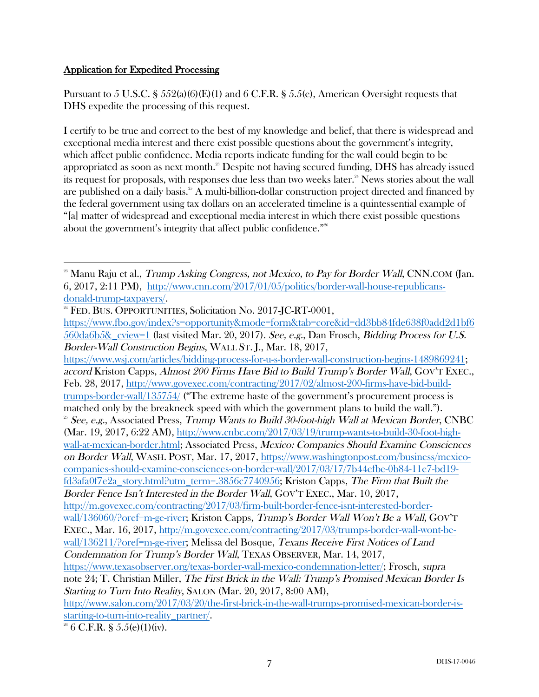# Application for Expedited Processing

Pursuant to 5 U.S.C. § 552(a)(6)(E)(1) and 6 C.F.R. § 5.5(e), American Oversight requests that DHS expedite the processing of this request.

I certify to be true and correct to the best of my knowledge and belief, that there is widespread and exceptional media interest and there exist possible questions about the government's integrity, which affect public confidence. Media reports indicate funding for the wall could begin to be appropriated as soon as next month." Despite not having secured funding, DHS has already issued its request for proposals, with responses due less than two weeks later.<sup>24</sup> News stories about the wall are published on a daily basis.<sup>25</sup> A multi-billion-dollar construction project directed and financed by the federal government using tax dollars on an accelerated timeline is a quintessential example of "[a] matter of widespread and exceptional media interest in which there exist possible questions about the government's integrity that affect public confidence."26

https://www.wsj.com/articles/bidding-process-for-u-s-border-wall-construction-begins-1489869241; accord Kriston Capps, Almost 200 Firms Have Bid to Build Trump's Border Wall, GOV'T EXEC., Feb. 28, 2017, http://www.govexec.com/contracting/2017/02/almost-200-firms-have-bid-buildtrumps-border-wall/135754/ ("The extreme haste of the government's procurement process is matched only by the breakneck speed with which the government plans to build the wall.").  $^{25}$  See, e.g., Associated Press, Trump Wants to Build 30-foot-high Wall at Mexican Border, CNBC (Mar. 19, 2017, 6:22 AM), http://www.cnbc.com/2017/03/19/trump-wants-to-build-30-foot-highwall-at-mexican-border.html; Associated Press, Mexico: Companies Should Examine Consciences on Border Wall, WASH. POST, Mar. 17, 2017, https://www.washingtonpost.com/business/mexicocompanies-should-examine-consciences-on-border-wall/2017/03/17/7b44efbe-0b84-11e7-bd19 fd3afa0f7e2a\_story.html?utm\_term=.3856c7740956; Kriston Capps, The Firm that Built the Border Fence Isn't Interested in the Border Wall, GOV'T EXEC., Mar. 10, 2017, http://m.govexec.com/contracting/2017/03/firm-built-border-fence-isnt-interested-borderwall/136060/?oref=m-ge-river; Kriston Capps, Trump's Border Wall Won't Be a Wall, GOV'T EXEC., Mar. 16, 2017, http://m.govexec.com/contracting/2017/03/trumps-border-wall-wont-bewall/136211/?oref=m-ge-river; Melissa del Bosque, Texans Receive First Notices of Land Condemnation for Trump's Border Wall, TEXAS OBSERVER, Mar. 14, 2017, https://www.texasobserver.org/texas-border-wall-mexico-condemnation-letter/; Frosch, supra note 24; T. Christian Miller, The First Brick in the Wall: Trump's Promised Mexican Border Is Starting to Turn Into Reality, SALON (Mar. 20, 2017, 8:00 AM), http://www.salon.com/2017/03/20/the-first-brick-in-the-wall-trumps-promised-mexican-border-isstarting-to-turn-into-reality\_partner/.

  $^{23}$  Manu Raju et al., *Trump Asking Congress, not Mexico, to Pay for Border Wall*, CNN.COM (Jan. 6, 2017, 2:11 PM), http://www.cnn.com/2017/01/05/politics/border-wall-house-republicansdonald-trump-taxpayers/.<br><sup>24</sup> FED. BUS. OPPORTUNITIES, Solicitation No. 2017-JC-RT-0001,

https://www.fbo.gov/index?s=opportunity&mode=form&tab=core&id=dd3bb84fde638f0add2d1bf6 560da6b5&\_cview=1 (last visited Mar. 20, 2017). See, e.g., Dan Frosch, Bidding Process for U.S. Border-Wall Construction Begins, WALL ST. J., Mar. 18, 2017,

 $2^6$  6 C.F.R. § 5.5(e)(1)(iv).